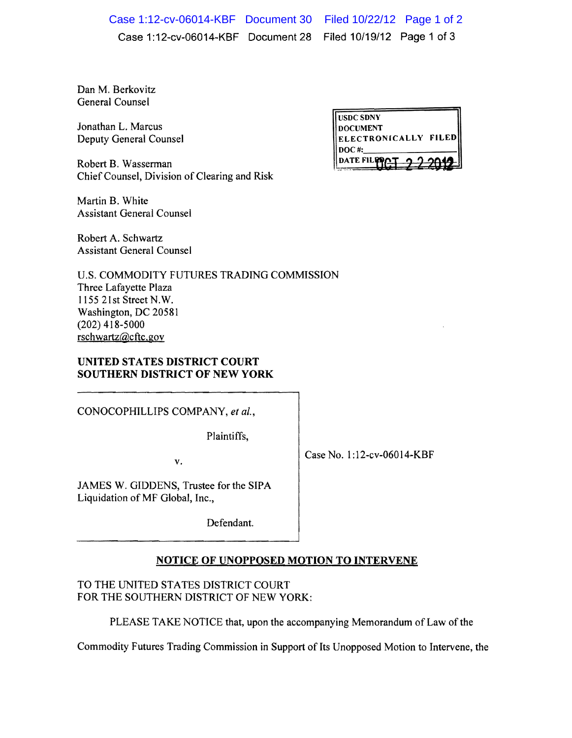Case 1:12-cv-06014-KBF Document 28 Filed 10/19/12 Page 1 of 3 Case 1:12-cv-06014-KBF Document 30 Filed 10/22/12 Page 1 of 2

Dan M. Berkovitz General Counsel

Jonathan L. Marcus Deputy General Counsel

Robert B. Wasserman Chief Counsel, Division of Clearing and Risk

| <b>USDC SDNY</b>     |  |
|----------------------|--|
| <b>IDOCUMENT</b>     |  |
| ELECTRONICALLY FILED |  |
| $\mathbf{DOC}$ #:    |  |
| <b>DATE FILEN</b>    |  |

Martin B. White Assistant General Counsel

Robert A. Schwartz Assistant General Counsel

U.S. COMMODITY FUTURES TRADING COMMISSION Three Lafayette Plaza lIS5 21 st Street N. W. Washington, DC 20581 (202) 418-5000 rschwartz@cftc.gov

UNITED STATES DISTRICT COURT SOUTHERN DISTRICT OF NEW YORK

CONOCOPHILLIPS COMPANY, *et ai.,* 

Plaintiffs,

v.

Case No. 1:12-cv-06014-KBF

JAMES W. GIDDENS, Trustee for the SIPA Liquidation of MF Global, Inc.,

Defendant.

## NOTICE OF UNOPPOSED MOTION TO INTERVENE

TO THE UNITED STATES DISTRICT COURT FOR THE SOUTHERN DISTRICT OF NEW YORK:

PLEASE TAKE NOTICE that, upon the accompanying Memorandum of Law of the

Commodity Futures Trading Commission in Support of Its Unopposed Motion to Intervene, the